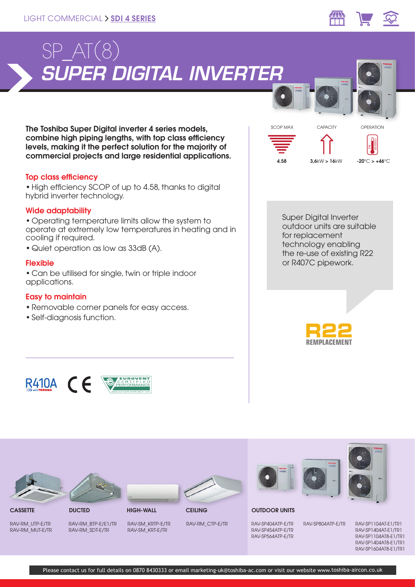

The Toshiba Super Digital inverter 4 series models, combine high piping lengths, with top class efficiency levels, making it the perfect solution for the majority of commercial projects and large residential applications.

## Top class efficiency

•High efficiency SCOP of up to 4.58, thanks to digital hybrid inverter technology.

## Wide adaptability

• Operating temperature limits allow the system to operate at extremely low temperatures in heating and in cooling if required.

**AEUROVENT**<br>CERTIFIEL

• Quiet operation as low as 33dB (A).

## Flexible

• Can be utilised for single, twin or triple indoor applications.

## Easy to maintain

- Removable corner panels for easy access.
- Self-diagnosis function.

R410A  $C$   $\epsilon$ 



Super Digital Inverter outdoor units are suitable for replacement technology enabling the re-use of existing R22 or R407C pipework.



# CASSETTE DUCTED HIGH-WALL CEILING OUTDOOR UNITS

RAV-RM\_UTP-E/TR RAV-RM\_MUT-E/TR RAV-RM\_BTP-E/E1/TR RAV-RM\_SDT-E/TR

RAV-SM\_KRTP-E/TR RAV-SM\_KRT-E/TR

RAV-RM\_CTP-E/TR

RAV-SP404ATP-E/TR RAV-SP454ATP-E/TR RAV-SP564ATP-E/TR



RAV-SP804ATP-E/TR RAV-SP1104AT-E1/TR1 RAV-SP1404AT-E1/TR1 RAV-SP1104AT8-E1/TR1 RAV-SP1404AT8-E1/TR1 RAV-SP1604AT8-E1/TR1

Please contact us for full details on 0870 8430333 or email marketing-uk@toshiba-ac.com or visit our website www.toshiba-aircon.co.uk